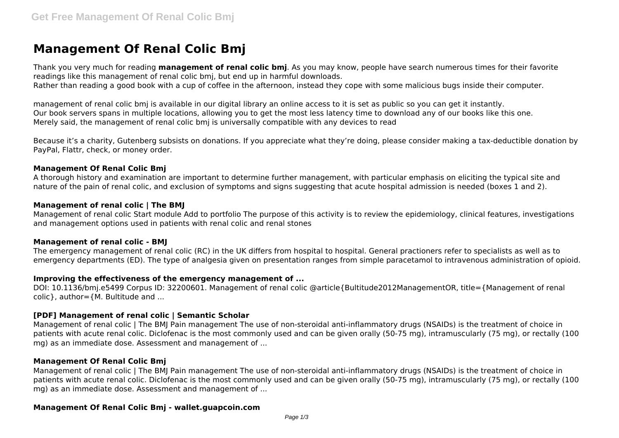# **Management Of Renal Colic Bmj**

Thank you very much for reading **management of renal colic bmj**. As you may know, people have search numerous times for their favorite readings like this management of renal colic bmj, but end up in harmful downloads. Rather than reading a good book with a cup of coffee in the afternoon, instead they cope with some malicious bugs inside their computer.

management of renal colic bmj is available in our digital library an online access to it is set as public so you can get it instantly. Our book servers spans in multiple locations, allowing you to get the most less latency time to download any of our books like this one. Merely said, the management of renal colic bmj is universally compatible with any devices to read

Because it's a charity, Gutenberg subsists on donations. If you appreciate what they're doing, please consider making a tax-deductible donation by PayPal, Flattr, check, or money order.

#### **Management Of Renal Colic Bmj**

A thorough history and examination are important to determine further management, with particular emphasis on eliciting the typical site and nature of the pain of renal colic, and exclusion of symptoms and signs suggesting that acute hospital admission is needed (boxes 1 and 2).

#### **Management of renal colic | The BMJ**

Management of renal colic Start module Add to portfolio The purpose of this activity is to review the epidemiology, clinical features, investigations and management options used in patients with renal colic and renal stones

#### **Management of renal colic - BMJ**

The emergency management of renal colic (RC) in the UK differs from hospital to hospital. General practioners refer to specialists as well as to emergency departments (ED). The type of analgesia given on presentation ranges from simple paracetamol to intravenous administration of opioid.

## **Improving the effectiveness of the emergency management of ...**

DOI: 10.1136/bmj.e5499 Corpus ID: 32200601. Management of renal colic @article{Bultitude2012ManagementOR, title={Management of renal  $colic$ , author= ${M.}$  Bultitude and ...

## **[PDF] Management of renal colic | Semantic Scholar**

Management of renal colic | The BMJ Pain management The use of non-steroidal anti-inflammatory drugs (NSAIDs) is the treatment of choice in patients with acute renal colic. Diclofenac is the most commonly used and can be given orally (50-75 mg), intramuscularly (75 mg), or rectally (100 mg) as an immediate dose. Assessment and management of ...

## **Management Of Renal Colic Bmj**

Management of renal colic | The BMJ Pain management The use of non-steroidal anti-inflammatory drugs (NSAIDs) is the treatment of choice in patients with acute renal colic. Diclofenac is the most commonly used and can be given orally (50-75 mg), intramuscularly (75 mg), or rectally (100 mg) as an immediate dose. Assessment and management of ...

## **Management Of Renal Colic Bmj - wallet.guapcoin.com**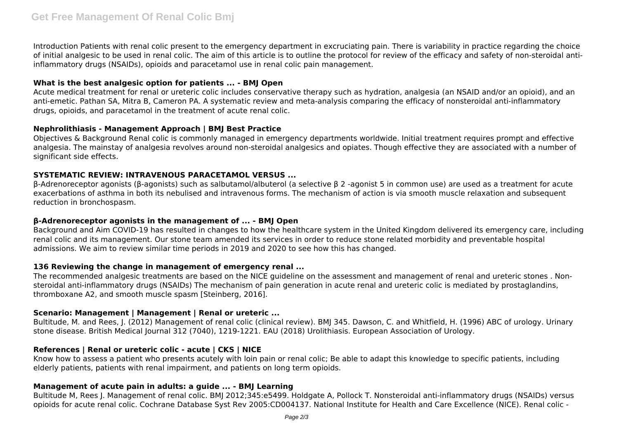Introduction Patients with renal colic present to the emergency department in excruciating pain. There is variability in practice regarding the choice of initial analgesic to be used in renal colic. The aim of this article is to outline the protocol for review of the efficacy and safety of non-steroidal antiinflammatory drugs (NSAIDs), opioids and paracetamol use in renal colic pain management.

## **What is the best analgesic option for patients ... - BMJ Open**

Acute medical treatment for renal or ureteric colic includes conservative therapy such as hydration, analgesia (an NSAID and/or an opioid), and an anti-emetic. Pathan SA, Mitra B, Cameron PA. A systematic review and meta-analysis comparing the efficacy of nonsteroidal anti-inflammatory drugs, opioids, and paracetamol in the treatment of acute renal colic.

## **Nephrolithiasis - Management Approach | BMJ Best Practice**

Objectives & Background Renal colic is commonly managed in emergency departments worldwide. Initial treatment requires prompt and effective analgesia. The mainstay of analgesia revolves around non-steroidal analgesics and opiates. Though effective they are associated with a number of significant side effects.

## **SYSTEMATIC REVIEW: INTRAVENOUS PARACETAMOL VERSUS ...**

β-Adrenoreceptor agonists (β-agonists) such as salbutamol/albuterol (a selective β 2 -agonist 5 in common use) are used as a treatment for acute exacerbations of asthma in both its nebulised and intravenous forms. The mechanism of action is via smooth muscle relaxation and subsequent reduction in bronchospasm.

## **β-Adrenoreceptor agonists in the management of ... - BMJ Open**

Background and Aim COVID-19 has resulted in changes to how the healthcare system in the United Kingdom delivered its emergency care, including renal colic and its management. Our stone team amended its services in order to reduce stone related morbidity and preventable hospital admissions. We aim to review similar time periods in 2019 and 2020 to see how this has changed.

## **136 Reviewing the change in management of emergency renal ...**

The recommended analgesic treatments are based on the NICE guideline on the assessment and management of renal and ureteric stones . Nonsteroidal anti-inflammatory drugs (NSAIDs) The mechanism of pain generation in acute renal and ureteric colic is mediated by prostaglandins, thromboxane A2, and smooth muscle spasm [Steinberg, 2016].

# **Scenario: Management | Management | Renal or ureteric ...**

Bultitude, M. and Rees, J. (2012) Management of renal colic (clinical review). BMJ 345. Dawson, C. and Whitfield, H. (1996) ABC of urology. Urinary stone disease. British Medical Journal 312 (7040), 1219-1221. EAU (2018) Urolithiasis. European Association of Urology.

# **References | Renal or ureteric colic - acute | CKS | NICE**

Know how to assess a patient who presents acutely with loin pain or renal colic; Be able to adapt this knowledge to specific patients, including elderly patients, patients with renal impairment, and patients on long term opioids.

## **Management of acute pain in adults: a guide ... - BMJ Learning**

Bultitude M, Rees J. Management of renal colic. BMJ 2012;345:e5499. Holdgate A, Pollock T. Nonsteroidal anti-inflammatory drugs (NSAIDs) versus opioids for acute renal colic. Cochrane Database Syst Rev 2005:CD004137. National Institute for Health and Care Excellence (NICE). Renal colic -